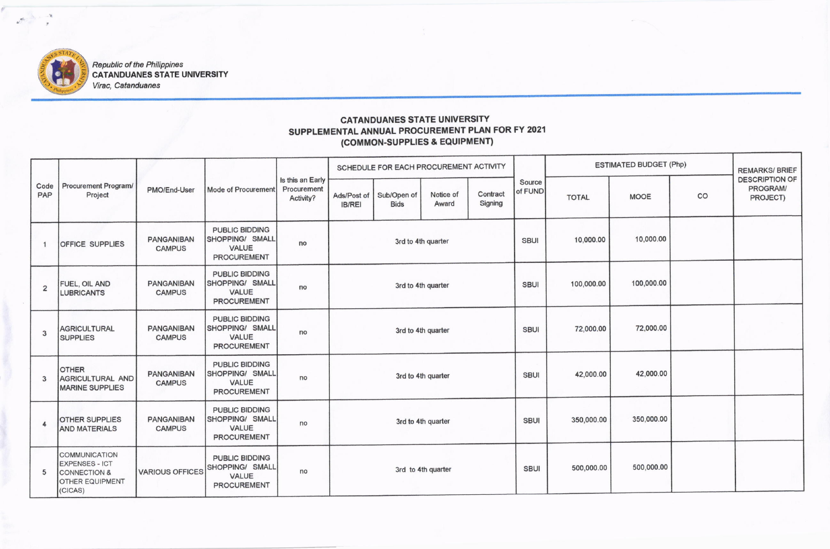

Republic of the Philippines<br>CATANDUANES STATE UNIVERSITY Virac, Catanduanes

## **CATANDUANES STATE UNIVERSITY** SUPPLEMENTAL ANNUAL PROCUREMENT PLAN FOR FY 2021 (COMMON-SUPPLIES & EQUIPMENT)

| Code<br>PAP    | <b>Procurement Program/</b><br>Project                                                                 | PMO/End-User                       | Mode of Procurement                                                     | Is this an Early<br>Procurement<br>Activity? | SCHEDULE FOR EACH PROCUREMENT ACTIVITY |                            |                    |                     |                   | <b>ESTIMATED BUDGET (Php)</b> |             |    | <b>REMARKS/BRIEF</b>                          |
|----------------|--------------------------------------------------------------------------------------------------------|------------------------------------|-------------------------------------------------------------------------|----------------------------------------------|----------------------------------------|----------------------------|--------------------|---------------------|-------------------|-------------------------------|-------------|----|-----------------------------------------------|
|                |                                                                                                        |                                    |                                                                         |                                              | Ads/Post of<br><b>IB/REI</b>           | Sub/Open of<br><b>Bids</b> | Notice of<br>Award | Contract<br>Signing | Source<br>of FUND | <b>TOTAL</b>                  | <b>MOOE</b> | CO | <b>DESCRIPTION OF</b><br>PROGRAM/<br>PROJECT) |
|                | <b>OFFICE SUPPLIES</b>                                                                                 | <b>PANGANIBAN</b><br><b>CAMPUS</b> | PUBLIC BIDDING<br>SHOPPING/ SMALL<br><b>VALUE</b><br><b>PROCUREMENT</b> | no                                           | 3rd to 4th quarter                     |                            |                    |                     | <b>SBUI</b>       | 10,000.00                     | 10,000.00   |    |                                               |
| $\overline{2}$ | FUEL, OIL AND<br><b>LUBRICANTS</b>                                                                     | <b>PANGANIBAN</b><br><b>CAMPUS</b> | PUBLIC BIDDING<br>SHOPPING/ SMALL<br><b>VALUE</b><br><b>PROCUREMENT</b> | no                                           | 3rd to 4th quarter                     |                            |                    |                     | <b>SBUI</b>       | 100,000.00                    | 100,000.00  |    |                                               |
| $\mathbf{3}$   | <b>AGRICULTURAL</b><br><b>SUPPLIES</b>                                                                 | <b>PANGANIBAN</b><br><b>CAMPUS</b> | PUBLIC BIDDING<br>SHOPPING/ SMALL<br><b>VALUE</b><br><b>PROCUREMENT</b> | no                                           | 3rd to 4th quarter                     |                            |                    |                     | <b>SBUI</b>       | 72,000.00                     | 72,000.00   |    |                                               |
| 3              | <b>OTHER</b><br><b>AGRICULTURAL AND</b><br><b>MARINE SUPPLIES</b>                                      | <b>PANGANIBAN</b><br><b>CAMPUS</b> | PUBLIC BIDDING<br>SHOPPING/ SMALL<br><b>VALUE</b><br><b>PROCUREMENT</b> | no                                           | 3rd to 4th quarter                     |                            |                    |                     | <b>SBUI</b>       | 42,000.00                     | 42,000.00   |    |                                               |
| 4              | OTHER SUPPLIES<br><b>AND MATERIALS</b>                                                                 | <b>PANGANIBAN</b><br><b>CAMPUS</b> | PUBLIC BIDDING<br>SHOPPING/ SMALL<br><b>VALUE</b><br><b>PROCUREMENT</b> | no                                           | 3rd to 4th quarter                     |                            |                    |                     | <b>SBUI</b>       | 350,000.00                    | 350,000.00  |    |                                               |
| 5              | COMMUNICATION<br><b>EXPENSES - ICT</b><br><b>CONNECTION &amp;</b><br><b>OTHER EQUIPMENT</b><br>(CICAS) | <b>VARIOUS OFFICES</b>             | PUBLIC BIDDING<br>SHOPPING/ SMALL<br>VALUE<br><b>PROCUREMENT</b>        | no                                           | 3rd to 4th quarter                     |                            |                    | <b>SBUI</b>         | 500,000.00        | 500,000.00                    |             |    |                                               |